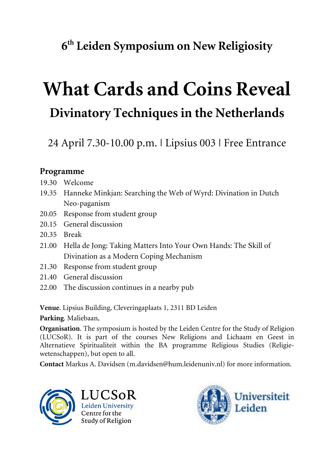# **6th Leiden Symposium on New Religiosity**

# **What Cards and Coins Reveal Divinatory Techniques in the Netherlands**

24 April 7.30-10.00 p.m. | Lipsius 003 | Free Entrance

## **Programme**

- 19.30 Welcome
- 19.35 Hanneke Minkjan: Searching the Web of Wyrd: Divination in Dutch Neo-paganism
- 20.05 Response from student group
- 20.15 General discussion
- 20.35 Break
- 21.00 Hella de Jong: Taking Matters Into Your Own Hands: The Skill of Divination as a Modern Coping Mechanism
- 21.30 Response from student group
- 21.40 General discussion
- 22.00 The discussion continues in a nearby pub

**Venue**. Lipsius Building, Cleveringaplaats 1, 2311 BD Leiden

**Parking**. Maliebaan,

**Organisation**. The symposium is hosted by the Leiden Centre for the Study of Religion (LUCSoR). It is part of the courses New Religions and Lichaam en Geest in Alternatieve Spiritualiteit within the BA programme Religious Studies (Religiewetenschappen), but open to all.

**Contact** Markus A. Davidsen (m.davidsen@hum.leidenuniv.nl) for more information.